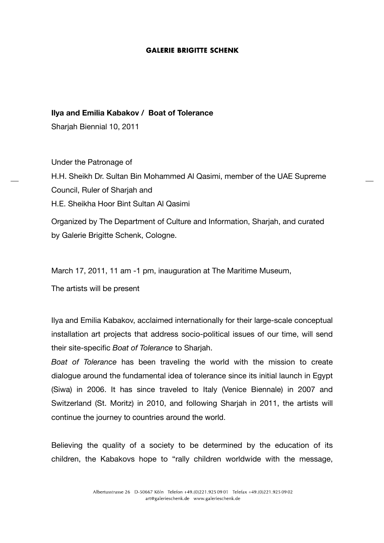## **Ilya and Emilia Kabakov / Boat of Tolerance**

Sharjah Biennial 10, 2011

Under the Patronage of H.H. Sheikh Dr. Sultan Bin Mohammed Al Qasimi, member of the UAE Supreme Council, Ruler of Sharjah and H.E. Sheikha Hoor Bint Sultan Al Qasimi Organized by The Department of Culture and Information, Sharjah, and curated

by Galerie Brigitte Schenk, Cologne.

March 17, 2011, 11 am -1 pm, inauguration at The Maritime Museum,

The artists will be present

Ilya and Emilia Kabakov, acclaimed internationally for their large-scale conceptual installation art projects that address socio-political issues of our time, will send their site-specific *Boat of Tolerance* to Sharjah.

*Boat of Tolerance* has been traveling the world with the mission to create dialogue around the fundamental idea of tolerance since its initial launch in Egypt (Siwa) in 2006. It has since traveled to Italy (Venice Biennale) in 2007 and Switzerland (St. Moritz) in 2010, and following Sharjah in 2011, the artists will continue the journey to countries around the world.

Believing the quality of a society to be determined by the education of its children, the Kabakovs hope to "rally children worldwide with the message,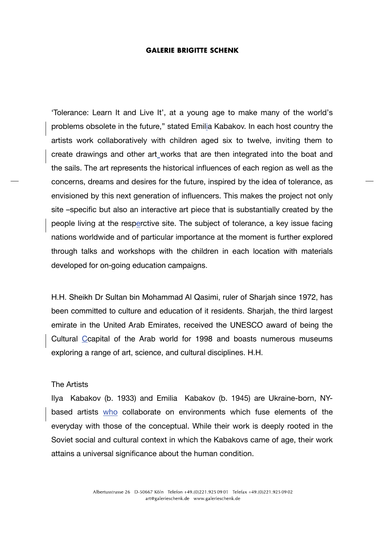'Tolerance: Learn It and Live It', at a young age to make many of the world's problems obsolete in the future," stated Emilia Kabakov. In each host country the artists work collaboratively with children aged six to twelve, inviting them to create drawings and other art works that are then integrated into the boat and the sails. The art represents the historical influences of each region as well as the concerns, dreams and desires for the future, inspired by the idea of tolerance, as envisioned by this next generation of influencers. This makes the project not only site –specific but also an interactive art piece that is substantially created by the people living at the resperctive site. The subject of tolerance, a key issue facing nations worldwide and of particular importance at the moment is further explored through talks and workshops with the children in each location with materials developed for on-going education campaigns.

H.H. Sheikh Dr Sultan bin Mohammad Al Qasimi, ruler of Sharjah since 1972, has been committed to culture and education of it residents. Sharjah, the third largest emirate in the United Arab Emirates, received the UNESCO award of being the Cultural Ccapital of the Arab world for 1998 and boasts numerous museums exploring a range of art, science, and cultural disciplines. H.H.

## The Artists

Ilya Kabakov (b. 1933) and Emilia Kabakov (b. 1945) are Ukraine-born, NYbased artists who collaborate on environments which fuse elements of the everyday with those of the conceptual. While their work is deeply rooted in the Soviet social and cultural context in which the Kabakovs came of age, their work attains a universal significance about the human condition.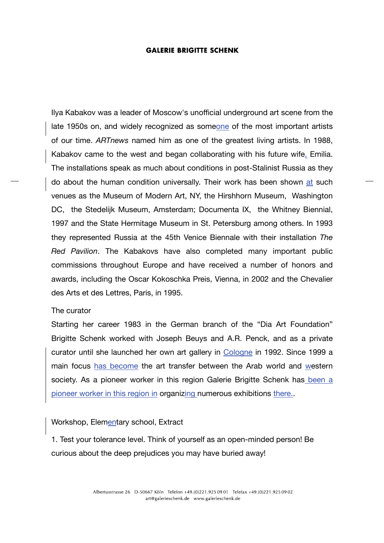Ilya Kabakov was a leader of Moscow's unofficial underground art scene from the late 1950s on, and widely recognized as someone of the most important artists of our time. *ARTnews* named him as one of the greatest living artists. In 1988, Kabakov came to the west and began collaborating with his future wife, Emilia. The installations speak as much about conditions in post-Stalinist Russia as they do about the human condition universally. Their work has been shown at such venues as the Museum of Modern Art, NY, the Hirshhorn Museum, Washington DC, the Stedelijk Museum, Amsterdam; Documenta IX, the Whitney Biennial, 1997 and the State Hermitage Museum in St. Petersburg among others. In 1993 they represented Russia at the 45th Venice Biennale with their installation *The Red Pavilion*. The Kabakovs have also completed many important public commissions throughout Europe and have received a number of honors and awards, including the Oscar Kokoschka Preis, Vienna, in 2002 and the Chevalier des Arts et des Lettres, Paris, in 1995.

# The curator

Starting her career 1983 in the German branch of the "Dia Art Foundation" Brigitte Schenk worked with Joseph Beuys and A.R. Penck, and as a private curator until she launched her own art gallery in Cologne in 1992. Since 1999 a main focus has become the art transfer between the Arab world and western society. As a pioneer worker in this region Galerie Brigitte Schenk has been a pioneer worker in this region in organizing numerous exhibitions there..

# Workshop, Elementary school, Extract

1. Test your tolerance level. Think of yourself as an open-minded person! Be curious about the deep prejudices you may have buried away!